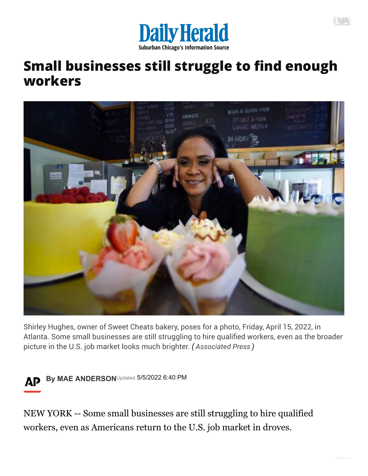

## **Small businesses still struggle to find enough workers**



Shirley Hughes, owner of Sweet Cheats bakery, poses for a photo, Friday, April 15, 2022, in Atlanta. Some small businesses are still struggling to hire qualified workers, even as the broader picture in the U.S. job market looks much brighter. *( Associated Press )*



By MAE ANDERSON<sup>Updated</sup> 5/5/2022 6:40 PM

NEW YORK -- Some small businesses are still struggling to hire qualified workers, even as Americans return to the U.S. job market in droves.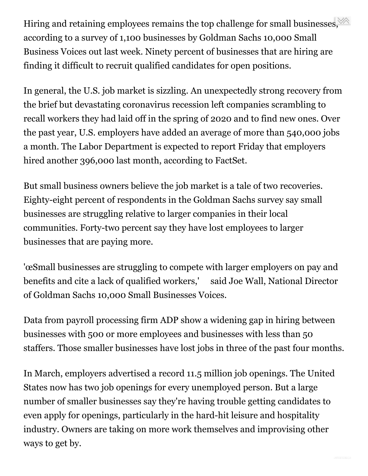Hiring and retaining employees remains the top challenge for small businesses. according to a survey of 1,100 businesses by Goldman Sachs 10,000 Small Business Voices out last week. Ninety percent of businesses that are hiring are finding it difficult to recruit qualified candidates for open positions.

In general, the U.S. job market is sizzling. An unexpectedly strong recovery from the brief but devastating coronavirus recession left companies scrambling to recall workers they had laid off in the spring of 2020 and to find new ones. Over the past year, U.S. employers have added an average of more than 540,000 jobs a month. The Labor Department is expected to report Friday that employers hired another 396,000 last month, according to FactSet.

But small business owners believe the job market is a tale of two recoveries. Eighty-eight percent of respondents in the Goldman Sachs survey say small businesses are struggling relative to larger companies in their local communities. Forty-two percent say they have lost employees to larger businesses that are paying more.

'œSmall businesses are struggling to compete with larger employers on pay and benefits and cite a lack of qualified workers,' said Joe Wall, National Director of Goldman Sachs 10,000 Small Businesses Voices.

Data from payroll processing firm ADP show a widening gap in hiring between businesses with 500 or more employees and businesses with less than 50 staffers. Those smaller businesses have lost jobs in three of the past four months.

In March, employers advertised a record 11.5 million job openings. The United States now has two job openings for every unemployed person. But a large number of smaller businesses say they're having trouble getting candidates to even apply for openings, particularly in the hard-hit leisure and hospitality industry. Owners are taking on more work themselves and improvising other ways to get by.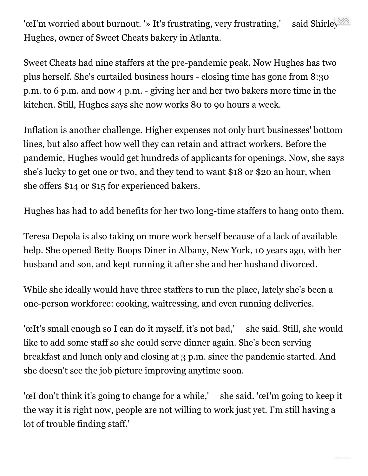'œI'm worried about burnout. '» It's frustrating, very frustrating,' said Shirley Hughes, owner of Sweet Cheats bakery in Atlanta.

Sweet Cheats had nine staffers at the pre-pandemic peak. Now Hughes has two plus herself. She's curtailed business hours - closing time has gone from 8:30 p.m. to 6 p.m. and now 4 p.m. - giving her and her two bakers more time in the kitchen. Still, Hughes says she now works 80 to 90 hours a week.

Inflation is another challenge. Higher expenses not only hurt businesses' bottom lines, but also affect how well they can retain and attract workers. Before the pandemic, Hughes would get hundreds of applicants for openings. Now, she says she's lucky to get one or two, and they tend to want \$18 or \$20 an hour, when she offers \$14 or \$15 for experienced bakers.

Hughes has had to add benefits for her two long-time staffers to hang onto them.

Teresa Depola is also taking on more work herself because of a lack of available help. She opened Betty Boops Diner in Albany, New York, 10 years ago, with her husband and son, and kept running it after she and her husband divorced.

While she ideally would have three staffers to run the place, lately she's been a one-person workforce: cooking, waitressing, and even running deliveries.

'œIt's small enough so I can do it myself, it's not bad,' she said. Still, she would like to add some staff so she could serve dinner again. She's been serving breakfast and lunch only and closing at 3 p.m. since the pandemic started. And she doesn't see the job picture improving anytime soon.

'œI don't think it's going to change for a while,' she said. 'œI'm going to keep it the way it is right now, people are not willing to work just yet. I'm still having a lot of trouble finding staff.'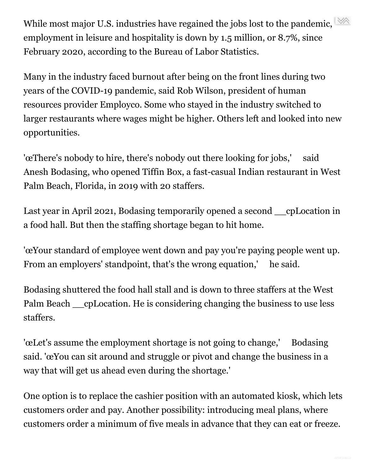While most major U.S. industries have regained the jobs lost to the pandemic,  $\frac{1}{2}$ employment in leisure and hospitality is down by 1.5 million, or 8.7%, since February 2020, according to the Bureau of Labor Statistics.

Many in the industry faced burnout after being on the front lines during two years of the COVID-19 pandemic, said Rob Wilson, president of human resources provider Employco. Some who stayed in the industry switched to larger restaurants where wages might be higher. Others left and looked into new opportunities.

'œThere's nobody to hire, there's nobody out there looking for jobs,' said Anesh Bodasing, who opened Tiffin Box, a fast-casual Indian restaurant in West Palm Beach, Florida, in 2019 with 20 staffers.

Last year in April 2021, Bodasing temporarily opened a second cpLocation in a food hall. But then the staffing shortage began to hit home.

'œYour standard of employee went down and pay you're paying people went up. From an employers' standpoint, that's the wrong equation,' he said.

Bodasing shuttered the food hall stall and is down to three staffers at the West Palm Beach cpLocation. He is considering changing the business to use less staffers.

'œLet's assume the employment shortage is not going to change,' Bodasing said. 'œYou can sit around and struggle or pivot and change the business in a way that will get us ahead even during the shortage.'

One option is to replace the cashier position with an automated kiosk, which lets customers order and pay. Another possibility: introducing meal plans, where customers order a minimum of five meals in advance that they can eat or freeze.